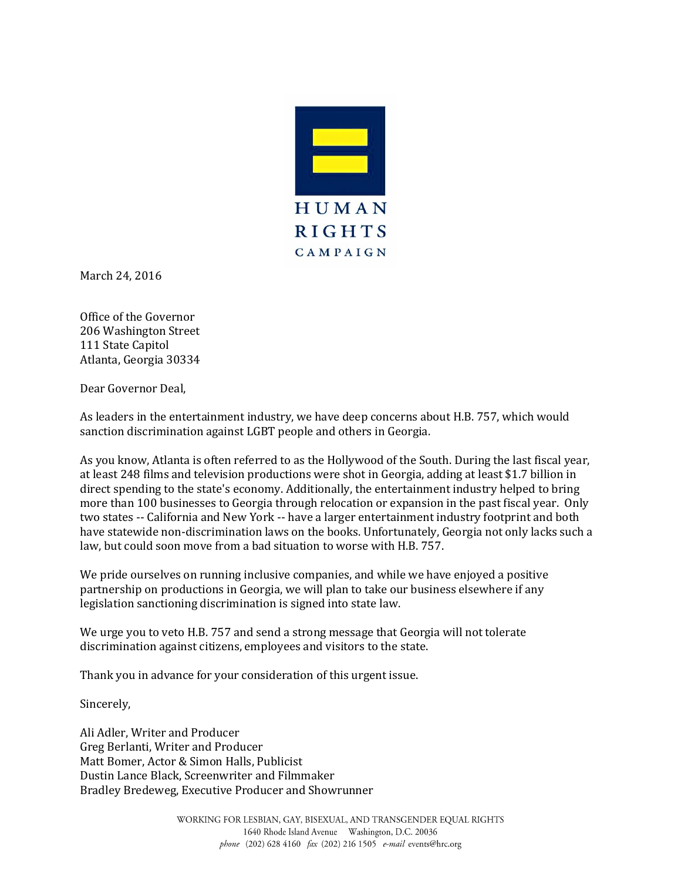

March 24, 2016

Office of the Governor 206 Washington Street 111 State Capitol Atlanta, Georgia 30334

Dear Governor Deal,

As leaders in the entertainment industry, we have deep concerns about H.B. 757, which would sanction discrimination against LGBT people and others in Georgia.

As you know, Atlanta is often referred to as the Hollywood of the South. During the last fiscal year, at least 248 films and television productions were shot in Georgia, adding at least \$1.7 billion in direct spending to the state's economy. Additionally, the entertainment industry helped to bring more than 100 businesses to Georgia through relocation or expansion in the past fiscal year. Only two states -- California and New York -- have a larger entertainment industry footprint and both have statewide non-discrimination laws on the books. Unfortunately, Georgia not only lacks such a law, but could soon move from a bad situation to worse with H.B. 757.

We pride ourselves on running inclusive companies, and while we have enjoyed a positive partnership on productions in Georgia, we will plan to take our business elsewhere if any legislation sanctioning discrimination is signed into state law.

We urge you to veto H.B. 757 and send a strong message that Georgia will not tolerate discrimination against citizens, employees and visitors to the state.

Thank you in advance for your consideration of this urgent issue.

Sincerely,

Ali Adler, Writer and Producer Greg Berlanti, Writer and Producer Matt Bomer, Actor & Simon Halls, Publicist Dustin Lance Black, Screenwriter and Filmmaker Bradley Bredeweg, Executive Producer and Showrunner